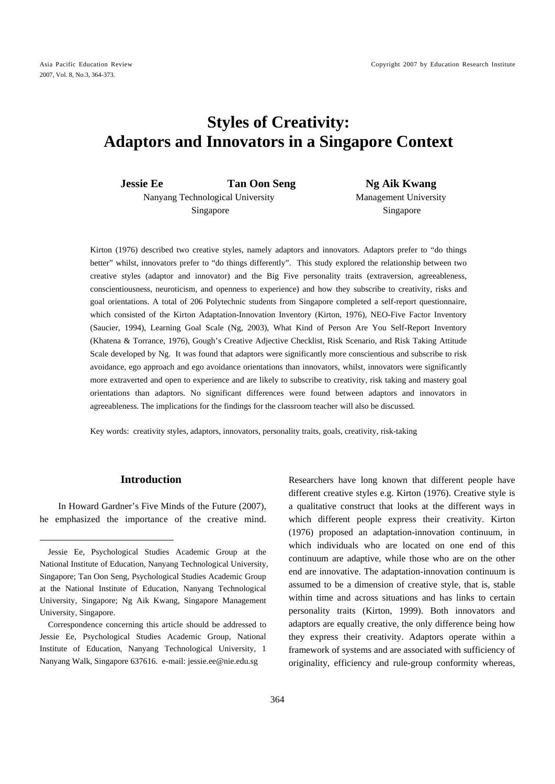# **Styles of Creativity: Adaptors and Innovators in a Singapore Context**

**Jessie Ee Tan Oon Seng Ng Aik Kwang Ng Aik Kwang Ng Aik Kwang Ng Aik Kwang Ng Aik Kwang Ng Aik Kwang Ng Aik Kwang Ng Aik Kwang Ng Aik Kwang Ng Aik Kwang Ng Aik Kwang Ng Aik Kwang Ng Aik Kwang Ng Aik Kwang Ng Aik Kwang Ng**  Nanyang Technological University Management University Singapore Singapore

Kirton (1976) described two creative styles, namely adaptors and innovators. Adaptors prefer to "do things better" whilst, innovators prefer to "do things differently". This study explored the relationship between two creative styles (adaptor and innovator) and the Big Five personality traits (extraversion, agreeableness, conscientiousness, neuroticism, and openness to experience) and how they subscribe to creativity, risks and goal orientations. A total of 206 Polytechnic students from Singapore completed a self-report questionnaire, which consisted of the Kirton Adaptation-Innovation Inventory (Kirton, 1976), NEO-Five Factor Inventory (Saucier, 1994), Learning Goal Scale (Ng, 2003), What Kind of Person Are You Self-Report Inventory (Khatena & Torrance, 1976), Gough's Creative Adjective Checklist, Risk Scenario, and Risk Taking Attitude Scale developed by Ng. It was found that adaptors were significantly more conscientious and subscribe to risk avoidance, ego approach and ego avoidance orientations than innovators, whilst, innovators were significantly more extraverted and open to experience and are likely to subscribe to creativity, risk taking and mastery goal orientations than adaptors. No significant differences were found between adaptors and innovators in agreeableness. The implications for the findings for the classroom teacher will also be discussed.

Key words:creativity styles, adaptors, innovators, personality traits, goals, creativity, risk-taking

## **Introduction**

In Howard Gardner's Five Minds of the Future (2007), he emphasized the importance of the creative mind.

 $\overline{a}$ 

Researchers have long known that different people have different creative styles e.g. Kirton (1976). Creative style is a qualitative construct that looks at the different ways in which different people express their creativity. Kirton (1976) proposed an adaptation-innovation continuum, in which individuals who are located on one end of this continuum are adaptive, while those who are on the other end are innovative. The adaptation-innovation continuum is assumed to be a dimension of creative style, that is, stable within time and across situations and has links to certain personality traits (Kirton, 1999). Both innovators and adaptors are equally creative, the only difference being how they express their creativity. Adaptors operate within a framework of systems and are associated with sufficiency of originality, efficiency and rule-group conformity whereas,

Jessie Ee, Psychological Studies Academic Group at the National Institute of Education, Nanyang Technological University, Singapore; Tan Oon Seng, Psychological Studies Academic Group at the National Institute of Education, Nanyang Technological University, Singapore; Ng Aik Kwang, Singapore Management University, Singapore.

Correspondence concerning this article should be addressed to Jessie Ee, Psychological Studies Academic Group, National Institute of Education, Nanyang Technological University, 1 Nanyang Walk, Singapore 637616. e-mail: jessie.ee@nie.edu.sg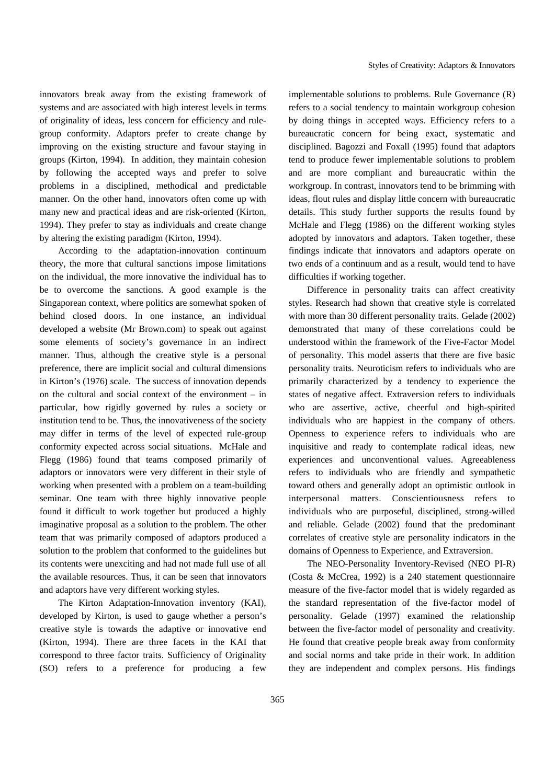innovators break away from the existing framework of systems and are associated with high interest levels in terms of originality of ideas, less concern for efficiency and rulegroup conformity. Adaptors prefer to create change by improving on the existing structure and favour staying in groups (Kirton, 1994). In addition, they maintain cohesion by following the accepted ways and prefer to solve problems in a disciplined, methodical and predictable manner. On the other hand, innovators often come up with many new and practical ideas and are risk-oriented (Kirton, 1994). They prefer to stay as individuals and create change by altering the existing paradigm (Kirton, 1994).

According to the adaptation-innovation continuum theory, the more that cultural sanctions impose limitations on the individual, the more innovative the individual has to be to overcome the sanctions. A good example is the Singaporean context, where politics are somewhat spoken of behind closed doors. In one instance, an individual developed a website (Mr Brown.com) to speak out against some elements of society's governance in an indirect manner. Thus, although the creative style is a personal preference, there are implicit social and cultural dimensions in Kirton's (1976) scale. The success of innovation depends on the cultural and social context of the environment – in particular, how rigidly governed by rules a society or institution tend to be. Thus, the innovativeness of the society may differ in terms of the level of expected rule-group conformity expected across social situations. McHale and Flegg (1986) found that teams composed primarily of adaptors or innovators were very different in their style of working when presented with a problem on a team-building seminar. One team with three highly innovative people found it difficult to work together but produced a highly imaginative proposal as a solution to the problem. The other team that was primarily composed of adaptors produced a solution to the problem that conformed to the guidelines but its contents were unexciting and had not made full use of all the available resources. Thus, it can be seen that innovators and adaptors have very different working styles.

The Kirton Adaptation-Innovation inventory (KAI), developed by Kirton, is used to gauge whether a person's creative style is towards the adaptive or innovative end (Kirton, 1994). There are three facets in the KAI that correspond to three factor traits. Sufficiency of Originality (SO) refers to a preference for producing a few

implementable solutions to problems. Rule Governance (R) refers to a social tendency to maintain workgroup cohesion by doing things in accepted ways. Efficiency refers to a bureaucratic concern for being exact, systematic and disciplined. Bagozzi and Foxall (1995) found that adaptors tend to produce fewer implementable solutions to problem and are more compliant and bureaucratic within the workgroup. In contrast, innovators tend to be brimming with ideas, flout rules and display little concern with bureaucratic details. This study further supports the results found by McHale and Flegg (1986) on the different working styles adopted by innovators and adaptors. Taken together, these findings indicate that innovators and adaptors operate on two ends of a continuum and as a result, would tend to have difficulties if working together.

Difference in personality traits can affect creativity styles. Research had shown that creative style is correlated with more than 30 different personality traits. Gelade (2002) demonstrated that many of these correlations could be understood within the framework of the Five-Factor Model of personality. This model asserts that there are five basic personality traits. Neuroticism refers to individuals who are primarily characterized by a tendency to experience the states of negative affect. Extraversion refers to individuals who are assertive, active, cheerful and high-spirited individuals who are happiest in the company of others. Openness to experience refers to individuals who are inquisitive and ready to contemplate radical ideas, new experiences and unconventional values. Agreeableness refers to individuals who are friendly and sympathetic toward others and generally adopt an optimistic outlook in interpersonal matters. Conscientiousness refers to individuals who are purposeful, disciplined, strong-willed and reliable. Gelade (2002) found that the predominant correlates of creative style are personality indicators in the domains of Openness to Experience, and Extraversion.

The NEO-Personality Inventory-Revised (NEO PI-R) (Costa & McCrea, 1992) is a 240 statement questionnaire measure of the five-factor model that is widely regarded as the standard representation of the five-factor model of personality. Gelade (1997) examined the relationship between the five-factor model of personality and creativity. He found that creative people break away from conformity and social norms and take pride in their work. In addition they are independent and complex persons. His findings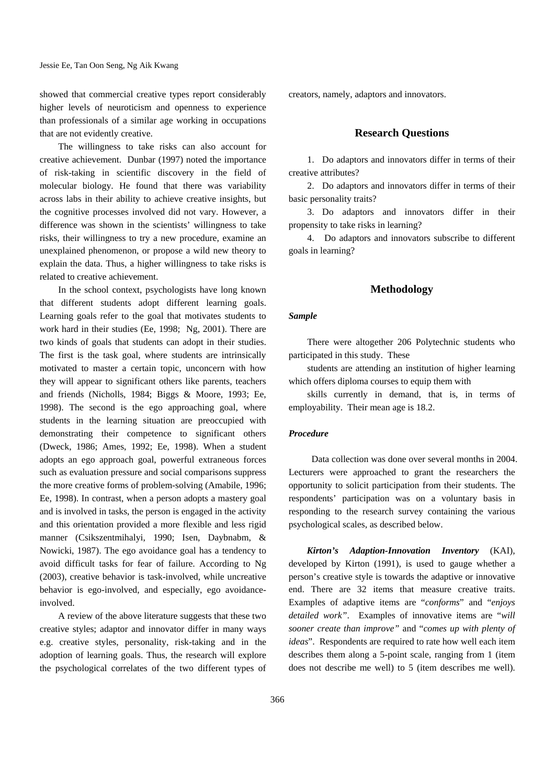showed that commercial creative types report considerably higher levels of neuroticism and openness to experience than professionals of a similar age working in occupations that are not evidently creative.

The willingness to take risks can also account for creative achievement. Dunbar (1997) noted the importance of risk-taking in scientific discovery in the field of molecular biology. He found that there was variability across labs in their ability to achieve creative insights, but the cognitive processes involved did not vary. However, a difference was shown in the scientists' willingness to take risks, their willingness to try a new procedure, examine an unexplained phenomenon, or propose a wild new theory to explain the data. Thus, a higher willingness to take risks is related to creative achievement.

In the school context, psychologists have long known that different students adopt different learning goals. Learning goals refer to the goal that motivates students to work hard in their studies (Ee, 1998; Ng, 2001). There are two kinds of goals that students can adopt in their studies. The first is the task goal, where students are intrinsically motivated to master a certain topic, unconcern with how they will appear to significant others like parents, teachers and friends (Nicholls, 1984; Biggs & Moore, 1993; Ee, 1998). The second is the ego approaching goal, where students in the learning situation are preoccupied with demonstrating their competence to significant others (Dweck, 1986; Ames, 1992; Ee, 1998). When a student adopts an ego approach goal, powerful extraneous forces such as evaluation pressure and social comparisons suppress the more creative forms of problem-solving (Amabile, 1996; Ee, 1998). In contrast, when a person adopts a mastery goal and is involved in tasks, the person is engaged in the activity and this orientation provided a more flexible and less rigid manner (Csikszentmihalyi, 1990; Isen, Daybnabm, & Nowicki, 1987). The ego avoidance goal has a tendency to avoid difficult tasks for fear of failure. According to Ng (2003), creative behavior is task-involved, while uncreative behavior is ego-involved, and especially, ego avoidanceinvolved.

A review of the above literature suggests that these two creative styles; adaptor and innovator differ in many ways e.g. creative styles, personality, risk-taking and in the adoption of learning goals. Thus, the research will explore the psychological correlates of the two different types of creators, namely, adaptors and innovators.

#### **Research Questions**

1. Do adaptors and innovators differ in terms of their creative attributes?

2. Do adaptors and innovators differ in terms of their basic personality traits?

3. Do adaptors and innovators differ in their propensity to take risks in learning?

4. Do adaptors and innovators subscribe to different goals in learning?

### **Methodology**

#### *Sample*

There were altogether 206 Polytechnic students who participated in this study. These

students are attending an institution of higher learning which offers diploma courses to equip them with

skills currently in demand, that is, in terms of employability. Their mean age is 18.2.

#### *Procedure*

Data collection was done over several months in 2004. Lecturers were approached to grant the researchers the opportunity to solicit participation from their students. The respondents' participation was on a voluntary basis in responding to the research survey containing the various psychological scales, as described below.

*Kirton's Adaption-Innovation Inventory* (KAI), developed by Kirton (1991), is used to gauge whether a person's creative style is towards the adaptive or innovative end. There are 32 items that measure creative traits. Examples of adaptive items are "*conforms*" and "*enjoys detailed work"*. Examples of innovative items are "*will sooner create than improve"* and "*comes up with plenty of ideas*". Respondents are required to rate how well each item describes them along a 5-point scale, ranging from 1 (item does not describe me well) to 5 (item describes me well).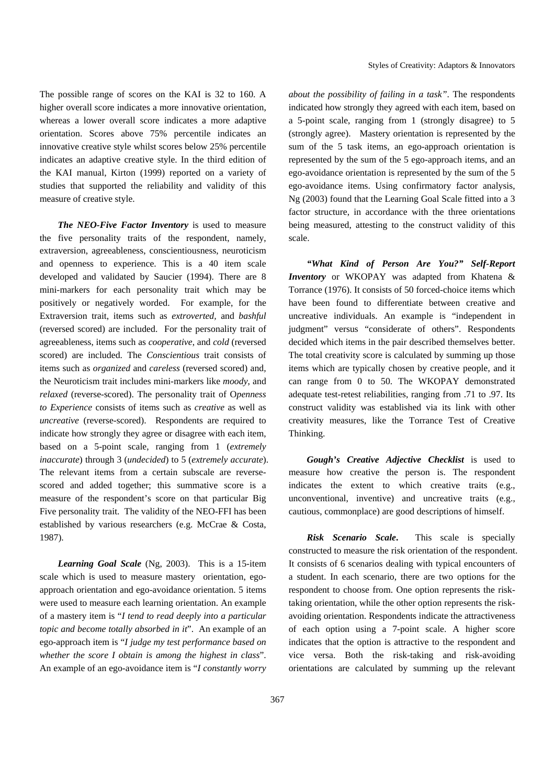The possible range of scores on the KAI is 32 to 160. A higher overall score indicates a more innovative orientation, whereas a lower overall score indicates a more adaptive orientation. Scores above 75% percentile indicates an innovative creative style whilst scores below 25% percentile indicates an adaptive creative style. In the third edition of the KAI manual, Kirton (1999) reported on a variety of studies that supported the reliability and validity of this measure of creative style.

*The NEO-Five Factor Inventory* is used to measure the five personality traits of the respondent, namely, extraversion, agreeableness, conscientiousness, neuroticism and openness to experience. This is a 40 item scale developed and validated by Saucier (1994). There are 8 mini-markers for each personality trait which may be positively or negatively worded. For example, for the Extraversion trait, items such as *extroverted,* and *bashful* (reversed scored) are included. For the personality trait of agreeableness, items such as *cooperative*, and *cold* (reversed scored) are included. The *Conscientious* trait consists of items such as *organized* and *careless* (reversed scored) and*,*  the Neuroticism trait includes mini-markers like *moody*, and *relaxed* (reverse-scored). The personality trait of O*penness to Experience* consists of items such as *creative* as well as *uncreative* (reverse-scored). Respondents are required to indicate how strongly they agree or disagree with each item, based on a 5-point scale, ranging from 1 (*extremely inaccurate*) through 3 (*undecided*) to 5 (*extremely accurate*). The relevant items from a certain subscale are reversescored and added together; this summative score is a measure of the respondent's score on that particular Big Five personality trait. The validity of the NEO-FFI has been established by various researchers (e.g. McCrae & Costa, 1987).

*Learning Goal Scale* (Ng, 2003). This is a 15-item scale which is used to measure mastery orientation, egoapproach orientation and ego-avoidance orientation. 5 items were used to measure each learning orientation. An example of a mastery item is "*I tend to read deeply into a particular topic and become totally absorbed in it*". An example of an ego-approach item is "*I judge my test performance based on whether the score I obtain is among the highest in class*". An example of an ego-avoidance item is "*I constantly worry*  *about the possibility of failing in a task"*. The respondents indicated how strongly they agreed with each item, based on a 5-point scale, ranging from 1 (strongly disagree) to 5 (strongly agree). Mastery orientation is represented by the sum of the 5 task items, an ego-approach orientation is represented by the sum of the 5 ego-approach items, and an ego-avoidance orientation is represented by the sum of the 5 ego-avoidance items. Using confirmatory factor analysis, Ng (2003) found that the Learning Goal Scale fitted into a 3 factor structure, in accordance with the three orientations being measured, attesting to the construct validity of this scale.

*"What Kind of Person Are You?" Self-Report Inventory* or WKOPAY was adapted from Khatena & Torrance (1976). It consists of 50 forced-choice items which have been found to differentiate between creative and uncreative individuals. An example is "independent in judgment" versus "considerate of others". Respondents decided which items in the pair described themselves better. The total creativity score is calculated by summing up those items which are typically chosen by creative people, and it can range from 0 to 50. The WKOPAY demonstrated adequate test-retest reliabilities, ranging from .71 to .97. Its construct validity was established via its link with other creativity measures, like the Torrance Test of Creative Thinking.

*Gough's Creative Adjective Checklist* is used to measure how creative the person is. The respondent indicates the extent to which creative traits (e.g., unconventional, inventive) and uncreative traits (e.g., cautious, commonplace) are good descriptions of himself.

*Risk Scenario Scale***.** This scale is specially constructed to measure the risk orientation of the respondent. It consists of 6 scenarios dealing with typical encounters of a student. In each scenario, there are two options for the respondent to choose from. One option represents the risktaking orientation, while the other option represents the riskavoiding orientation. Respondents indicate the attractiveness of each option using a 7-point scale. A higher score indicates that the option is attractive to the respondent and vice versa. Both the risk-taking and risk-avoiding orientations are calculated by summing up the relevant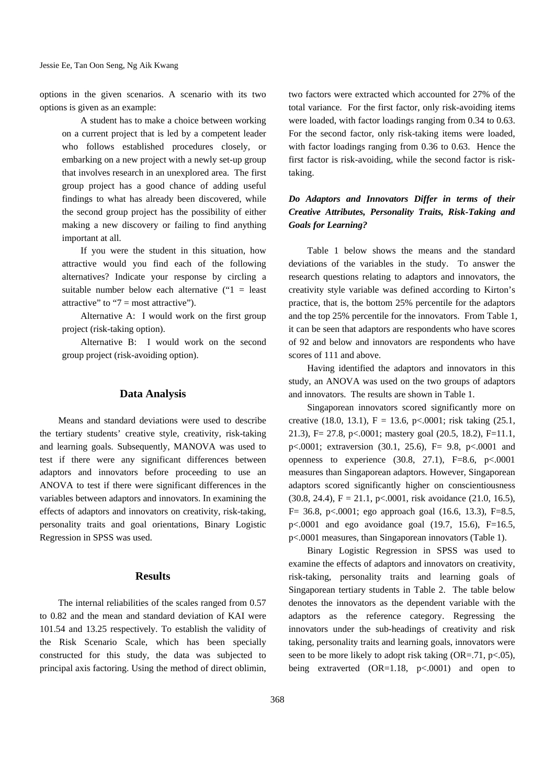options in the given scenarios. A scenario with its two options is given as an example:

A student has to make a choice between working on a current project that is led by a competent leader who follows established procedures closely, or embarking on a new project with a newly set-up group that involves research in an unexplored area. The first group project has a good chance of adding useful findings to what has already been discovered, while the second group project has the possibility of either making a new discovery or failing to find anything important at all.

If you were the student in this situation, how attractive would you find each of the following alternatives? Indicate your response by circling a suitable number below each alternative  $(1)$  = least attractive" to " $7 = \text{most attractive}$ ").

Alternative A: I would work on the first group project (risk-taking option).

Alternative B: I would work on the second group project (risk-avoiding option).

# **Data Analysis**

Means and standard deviations were used to describe the tertiary students' creative style, creativity, risk-taking and learning goals. Subsequently, MANOVA was used to test if there were any significant differences between adaptors and innovators before proceeding to use an ANOVA to test if there were significant differences in the variables between adaptors and innovators. In examining the effects of adaptors and innovators on creativity, risk-taking, personality traits and goal orientations, Binary Logistic Regression in SPSS was used.

# **Results**

The internal reliabilities of the scales ranged from 0.57 to 0.82 and the mean and standard deviation of KAI were 101.54 and 13.25 respectively. To establish the validity of the Risk Scenario Scale, which has been specially constructed for this study, the data was subjected to principal axis factoring. Using the method of direct oblimin,

two factors were extracted which accounted for 27% of the total variance. For the first factor, only risk-avoiding items were loaded, with factor loadings ranging from 0.34 to 0.63. For the second factor, only risk-taking items were loaded, with factor loadings ranging from 0.36 to 0.63. Hence the first factor is risk-avoiding, while the second factor is risktaking.

# *Do Adaptors and Innovators Differ in terms of their Creative Attributes, Personality Traits, Risk-Taking and Goals for Learning?*

Table 1 below shows the means and the standard deviations of the variables in the study. To answer the research questions relating to adaptors and innovators, the creativity style variable was defined according to Kirton's practice, that is, the bottom 25% percentile for the adaptors and the top 25% percentile for the innovators. From Table 1, it can be seen that adaptors are respondents who have scores of 92 and below and innovators are respondents who have scores of 111 and above.

Having identified the adaptors and innovators in this study, an ANOVA was used on the two groups of adaptors and innovators. The results are shown in Table 1.

Singaporean innovators scored significantly more on creative (18.0, 13.1),  $F = 13.6$ , p<.0001; risk taking (25.1, 21.3), F= 27.8, p<.0001; mastery goal (20.5, 18.2), F=11.1, p<.0001; extraversion (30.1, 25.6), F= 9.8, p<.0001 and openness to experience  $(30.8, 27.1)$ , F=8.6, p<.0001 measures than Singaporean adaptors. However, Singaporean adaptors scored significantly higher on conscientiousness  $(30.8, 24.4), F = 21.1, p < .0001$ , risk avoidance  $(21.0, 16.5),$ F = 36.8, p < 0.001; ego approach goal (16.6, 13.3), F = 8.5, p<.0001 and ego avoidance goal (19.7, 15.6), F=16.5, p<.0001 measures, than Singaporean innovators (Table 1).

Binary Logistic Regression in SPSS was used to examine the effects of adaptors and innovators on creativity, risk-taking, personality traits and learning goals of Singaporean tertiary students in Table 2. The table below denotes the innovators as the dependent variable with the adaptors as the reference category. Regressing the innovators under the sub-headings of creativity and risk taking, personality traits and learning goals, innovators were seen to be more likely to adopt risk taking (OR=.71, p<.05), being extraverted  $(OR=1.18, p<.0001)$  and open to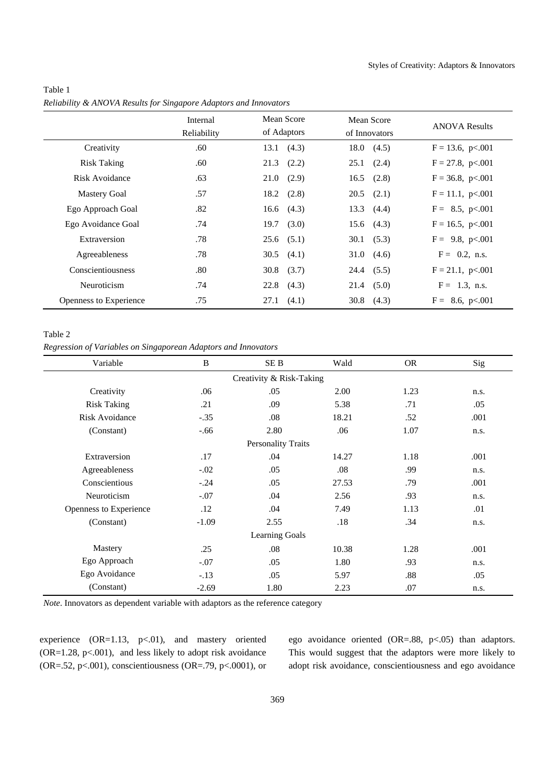| Table 1                                                           |  |
|-------------------------------------------------------------------|--|
| Reliability & ANOVA Results for Singapore Adaptors and Innovators |  |

|                        | Internal<br>Reliability | Mean Score<br>of Adaptors | Mean Score<br>of Innovators | <b>ANOVA Results</b> |
|------------------------|-------------------------|---------------------------|-----------------------------|----------------------|
| Creativity             | .60                     | (4.3)<br>13.1             | $18.0 \quad (4.5)$          | $F = 13.6$ , p<.001  |
| <b>Risk Taking</b>     | .60                     | $21.3$ $(2.2)$            | $25.1$ $(2.4)$              | $F = 27.8$ , p<.001  |
| Risk Avoidance         | .63                     | $21.0\quad(2.9)$          | $16.5$ $(2.8)$              | $F = 36.8$ , p<.001  |
| <b>Mastery Goal</b>    | .57                     | $18.2 \quad (2.8)$        | $20.5$ $(2.1)$              | $F = 11.1$ , p<.001  |
| Ego Approach Goal      | .82                     | 16.6 $(4.3)$              | $13.3 \quad (4.4)$          | $F = 8.5, p < .001$  |
| Ego Avoidance Goal     | .74                     | 19.7<br>(3.0)             | $15.6$ $(4.3)$              | $F = 16.5$ , p<.001  |
| Extraversion           | .78                     | $25.6$ $(5.1)$            | 30.1 (5.3)                  | $F = 9.8, p < .001$  |
| Agreeableness          | .78                     | $30.5$ $(4.1)$            | 31.0<br>(4.6)               | $F = 0.2$ , n.s.     |
| Conscientiousness      | .80                     | (3.7)<br>30.8             | $24.4$ (5.5)                | $F = 21.1$ , p<.001  |
| Neuroticism            | .74                     | $22.8$ $(4.3)$            | $21.4 \quad (5.0)$          | $F = 1.3$ , n.s.     |
| Openness to Experience | .75                     | $27.1 \quad (4.1)$        | $30.8 \quad (4.3)$          | $F = 8.6, p<.001$    |

### Table 2

*Regression of Variables on Singaporean Adaptors and Innovators*

| Variable                  | B       | SE B | Wald  | <b>OR</b> | Sig  |  |  |  |
|---------------------------|---------|------|-------|-----------|------|--|--|--|
| Creativity & Risk-Taking  |         |      |       |           |      |  |  |  |
| Creativity                | .06     | .05  | 2.00  | 1.23      | n.s. |  |  |  |
| <b>Risk Taking</b>        | .21     | .09  | 5.38  | .71       | .05  |  |  |  |
| <b>Risk Avoidance</b>     | $-.35$  | .08  | 18.21 | .52       | .001 |  |  |  |
| (Constant)                | $-.66$  | 2.80 | .06   | 1.07      | n.s. |  |  |  |
| <b>Personality Traits</b> |         |      |       |           |      |  |  |  |
| Extraversion              | .17     | .04  | 14.27 | 1.18      | .001 |  |  |  |
| Agreeableness             | $-.02$  | .05  | .08   | .99       | n.s. |  |  |  |
| Conscientious             | $-.24$  | .05  | 27.53 | .79       | .001 |  |  |  |
| Neuroticism               | $-.07$  | .04  | 2.56  | .93       | n.s. |  |  |  |
| Openness to Experience    | .12     | .04  | 7.49  | 1.13      | .01  |  |  |  |
| (Constant)                | $-1.09$ | 2.55 | .18   | .34       | n.s. |  |  |  |
| <b>Learning Goals</b>     |         |      |       |           |      |  |  |  |
| Mastery                   | .25     | .08  | 10.38 | 1.28      | .001 |  |  |  |
| Ego Approach              | $-.07$  | .05  | 1.80  | .93       | n.s. |  |  |  |
| Ego Avoidance             | $-.13$  | .05  | 5.97  | .88       | .05  |  |  |  |
| (Constant)                | $-2.69$ | 1.80 | 2.23  | .07       | n.s. |  |  |  |

*Note*. Innovators as dependent variable with adaptors as the reference category

experience  $(OR=1.13, p<.01)$ , and mastery oriented (OR=1.28, p<.001), and less likely to adopt risk avoidance (OR=.52, p<.001), conscientiousness (OR=.79, p<.0001), or ego avoidance oriented (OR=.88, p<.05) than adaptors. This would suggest that the adaptors were more likely to adopt risk avoidance, conscientiousness and ego avoidance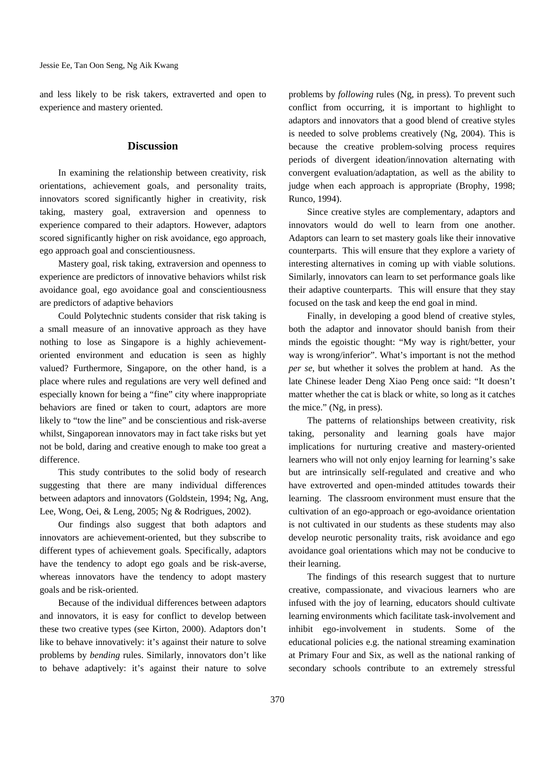and less likely to be risk takers, extraverted and open to experience and mastery oriented.

#### **Discussion**

In examining the relationship between creativity, risk orientations, achievement goals, and personality traits, innovators scored significantly higher in creativity, risk taking, mastery goal, extraversion and openness to experience compared to their adaptors. However, adaptors scored significantly higher on risk avoidance, ego approach, ego approach goal and conscientiousness.

Mastery goal, risk taking, extraversion and openness to experience are predictors of innovative behaviors whilst risk avoidance goal, ego avoidance goal and conscientiousness are predictors of adaptive behaviors

Could Polytechnic students consider that risk taking is a small measure of an innovative approach as they have nothing to lose as Singapore is a highly achievementoriented environment and education is seen as highly valued? Furthermore, Singapore, on the other hand, is a place where rules and regulations are very well defined and especially known for being a "fine" city where inappropriate behaviors are fined or taken to court, adaptors are more likely to "tow the line" and be conscientious and risk-averse whilst, Singaporean innovators may in fact take risks but yet not be bold, daring and creative enough to make too great a difference.

This study contributes to the solid body of research suggesting that there are many individual differences between adaptors and innovators (Goldstein, 1994; Ng, Ang, Lee, Wong, Oei, & Leng, 2005; Ng & Rodrigues, 2002).

Our findings also suggest that both adaptors and innovators are achievement-oriented, but they subscribe to different types of achievement goals. Specifically, adaptors have the tendency to adopt ego goals and be risk-averse, whereas innovators have the tendency to adopt mastery goals and be risk-oriented.

Because of the individual differences between adaptors and innovators, it is easy for conflict to develop between these two creative types (see Kirton, 2000). Adaptors don't like to behave innovatively: it's against their nature to solve problems by *bending* rules. Similarly, innovators don't like to behave adaptively: it's against their nature to solve

problems by *following* rules (Ng, in press). To prevent such conflict from occurring, it is important to highlight to adaptors and innovators that a good blend of creative styles is needed to solve problems creatively (Ng, 2004). This is because the creative problem-solving process requires periods of divergent ideation/innovation alternating with convergent evaluation/adaptation, as well as the ability to judge when each approach is appropriate (Brophy, 1998; Runco, 1994).

Since creative styles are complementary, adaptors and innovators would do well to learn from one another. Adaptors can learn to set mastery goals like their innovative counterparts. This will ensure that they explore a variety of interesting alternatives in coming up with viable solutions. Similarly, innovators can learn to set performance goals like their adaptive counterparts. This will ensure that they stay focused on the task and keep the end goal in mind.

Finally, in developing a good blend of creative styles, both the adaptor and innovator should banish from their minds the egoistic thought: "My way is right/better, your way is wrong/inferior". What's important is not the method *per se*, but whether it solves the problem at hand. As the late Chinese leader Deng Xiao Peng once said: "It doesn't matter whether the cat is black or white, so long as it catches the mice." (Ng, in press).

The patterns of relationships between creativity, risk taking, personality and learning goals have major implications for nurturing creative and mastery-oriented learners who will not only enjoy learning for learning's sake but are intrinsically self-regulated and creative and who have extroverted and open-minded attitudes towards their learning. The classroom environment must ensure that the cultivation of an ego-approach or ego-avoidance orientation is not cultivated in our students as these students may also develop neurotic personality traits, risk avoidance and ego avoidance goal orientations which may not be conducive to their learning.

The findings of this research suggest that to nurture creative, compassionate, and vivacious learners who are infused with the joy of learning, educators should cultivate learning environments which facilitate task-involvement and inhibit ego-involvement in students. Some of the educational policies e.g. the national streaming examination at Primary Four and Six, as well as the national ranking of secondary schools contribute to an extremely stressful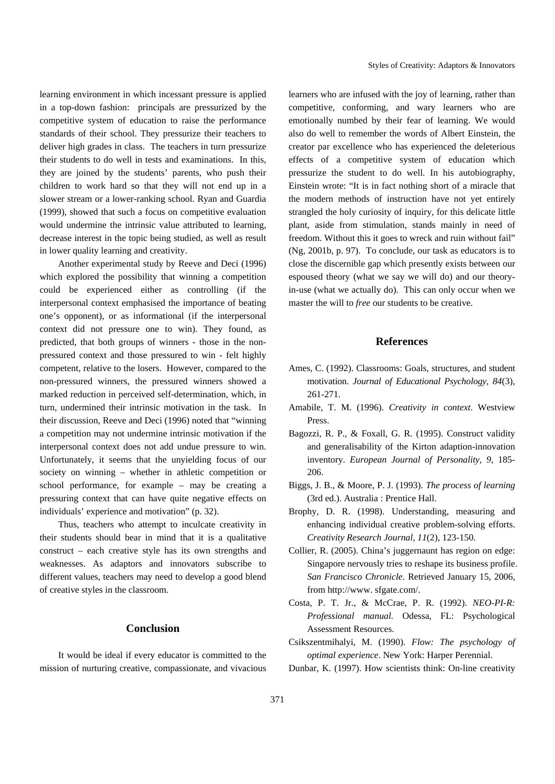learning environment in which incessant pressure is applied in a top-down fashion: principals are pressurized by the competitive system of education to raise the performance standards of their school. They pressurize their teachers to deliver high grades in class. The teachers in turn pressurize their students to do well in tests and examinations. In this, they are joined by the students' parents, who push their children to work hard so that they will not end up in a slower stream or a lower-ranking school. Ryan and Guardia (1999), showed that such a focus on competitive evaluation would undermine the intrinsic value attributed to learning, decrease interest in the topic being studied, as well as result in lower quality learning and creativity.

Another experimental study by Reeve and Deci (1996) which explored the possibility that winning a competition could be experienced either as controlling (if the interpersonal context emphasised the importance of beating one's opponent), or as informational (if the interpersonal context did not pressure one to win). They found, as predicted, that both groups of winners - those in the nonpressured context and those pressured to win - felt highly competent, relative to the losers. However, compared to the non-pressured winners, the pressured winners showed a marked reduction in perceived self-determination, which, in turn, undermined their intrinsic motivation in the task. In their discussion, Reeve and Deci (1996) noted that "winning a competition may not undermine intrinsic motivation if the interpersonal context does not add undue pressure to win. Unfortunately, it seems that the unyielding focus of our society on winning – whether in athletic competition or school performance, for example – may be creating a pressuring context that can have quite negative effects on individuals' experience and motivation" (p. 32).

Thus, teachers who attempt to inculcate creativity in their students should bear in mind that it is a qualitative construct – each creative style has its own strengths and weaknesses. As adaptors and innovators subscribe to different values, teachers may need to develop a good blend of creative styles in the classroom.

# **Conclusion**

It would be ideal if every educator is committed to the mission of nurturing creative, compassionate, and vivacious learners who are infused with the joy of learning, rather than competitive, conforming, and wary learners who are emotionally numbed by their fear of learning. We would also do well to remember the words of Albert Einstein, the creator par excellence who has experienced the deleterious effects of a competitive system of education which pressurize the student to do well. In his autobiography, Einstein wrote: "It is in fact nothing short of a miracle that the modern methods of instruction have not yet entirely strangled the holy curiosity of inquiry, for this delicate little plant, aside from stimulation, stands mainly in need of freedom. Without this it goes to wreck and ruin without fail" (Ng, 2001b, p. 97). To conclude, our task as educators is to close the discernible gap which presently exists between our espoused theory (what we say we will do) and our theoryin-use (what we actually do). This can only occur when we master the will to *free* our students to be creative.

### **References**

- Ames, C. (1992). Classrooms: Goals, structures, and student motivation. *Journal of Educational Psychology, 84*(3)*,* 261-271.
- Amabile, T. M. (1996). *Creativity in context*. Westview Press.
- Bagozzi, R. P., & Foxall, G. R. (1995). Construct validity and generalisability of the Kirton adaption-innovation inventory. *European Journal of Personality, 9*, 185- 206.
- Biggs, J. B., & Moore, P. J. (1993). *The process of learning* (3rd ed.). Australia : Prentice Hall.
- Brophy, D. R. (1998). Understanding, measuring and enhancing individual creative problem-solving efforts. *Creativity Research Journal, 11*(2)*,* 123-150.
- Collier, R. (2005). China's juggernaunt has region on edge: Singapore nervously tries to reshape its business profile. *San Francisco Chronicle*. Retrieved January 15, 2006, from http://www. sfgate.com/.
- Costa, P. T. Jr., & McCrae, P. R. (1992). *NEO-PI-R: Professional manual.* Odessa, FL: Psychological Assessment Resources.
- Csikszentmihalyi, M. (1990). *Flow: The psychology of optimal experience*. New York: Harper Perennial.
- Dunbar, K. (1997). How scientists think: On-line creativity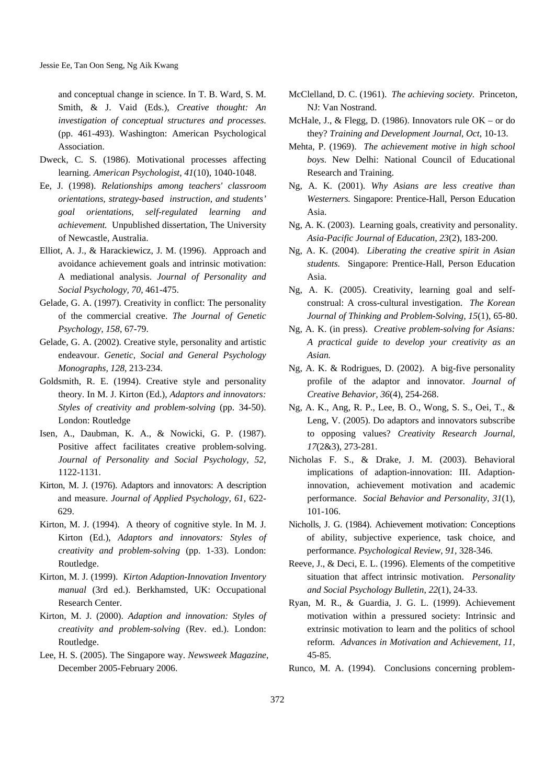and conceptual change in science. In T. B. Ward, S. M. Smith, & J. Vaid (Eds.), *Creative thought: An investigation of conceptual structures and processes*. (pp. 461-493). Washington: American Psychological Association.

- Dweck, C. S. (1986). Motivational processes affecting learning. *American Psychologist, 41*(10), 1040-1048.
- Ee, J. (1998). *Relationships among teachers' classroom orientations, strategy-based instruction, and students' goal orientations, self-regulated learning and achievement.* Unpublished dissertation, The University of Newcastle, Australia.
- Elliot, A. J., & Harackiewicz, J. M. (1996). Approach and avoidance achievement goals and intrinsic motivation: A mediational analysis. *Journal of Personality and Social Psychology, 70,* 461-475.
- Gelade, G. A. (1997). Creativity in conflict: The personality of the commercial creative. *The Journal of Genetic Psychology, 158*, 67-79.
- Gelade, G. A. (2002). Creative style, personality and artistic endeavour. *Genetic, Social and General Psychology Monographs, 128*, 213-234.
- Goldsmith, R. E. (1994). Creative style and personality theory. In M. J. Kirton (Ed.), *Adaptors and innovators: Styles of creativity and problem-solving* (pp. 34-50). London: Routledge
- Isen, A., Daubman, K. A., & Nowicki, G. P. (1987). Positive affect facilitates creative problem-solving. *Journal of Personality and Social Psychology, 52*, 1122-1131.
- Kirton, M. J. (1976). Adaptors and innovators: A description and measure. *Journal of Applied Psychology, 61,* 622- 629.
- Kirton, M. J. (1994). A theory of cognitive style. In M. J. Kirton (Ed.), *Adaptors and innovators: Styles of creativity and problem-solving* (pp. 1-33). London: Routledge.
- Kirton, M. J. (1999). *Kirton Adaption-Innovation Inventory manual* (3rd ed.). Berkhamsted, UK: Occupational Research Center.
- Kirton, M. J. (2000). *Adaption and innovation: Styles of creativity and problem-solving* (Rev. ed.). London: Routledge.
- Lee, H. S. (2005). The Singapore way. *Newsweek Magazine*, December 2005-February 2006.
- McClelland, D. C. (1961). *The achieving society.* Princeton, NJ: Van Nostrand.
- McHale, J., & Flegg, D. (1986). Innovators rule OK or do they? *Training and Development Journal, Oct*, 10-13.
- Mehta, P. (1969). *The achievement motive in high school boys.* New Delhi: National Council of Educational Research and Training.
- Ng, A. K. (2001). *Why Asians are less creative than Westerners.* Singapore: Prentice-Hall, Person Education Asia.
- Ng, A. K. (2003). Learning goals, creativity and personality. *Asia-Pacific Journal of Education, 23*(2), 183-200.
- Ng, A. K. (2004). *Liberating the creative spirit in Asian students.* Singapore: Prentice-Hall, Person Education Asia.
- Ng, A. K. (2005). Creativity, learning goal and selfconstrual: A cross-cultural investigation. *The Korean Journal of Thinking and Problem-Solving, 15*(1), 65-80.
- Ng, A. K. (in press). *Creative problem-solving for Asians: A practical guide to develop your creativity as an Asian.*
- Ng, A. K. & Rodrigues, D. (2002). A big-five personality profile of the adaptor and innovator. *Journal of Creative Behavior, 36*(4), 254-268.
- Ng, A. K., Ang, R. P., Lee, B. O., Wong, S. S., Oei, T., & Leng, V. (2005). Do adaptors and innovators subscribe to opposing values? *Creativity Research Journal, 17*(2&3), 273-281.
- Nicholas F. S., & Drake, J. M. (2003). Behavioral implications of adaption-innovation: III. Adaptioninnovation, achievement motivation and academic performance. *Social Behavior and Personality, 31*(1), 101-106.
- Nicholls, J. G. (1984). Achievement motivation: Conceptions of ability, subjective experience, task choice, and performance. *Psychological Review, 91,* 328-346.
- Reeve, J., & Deci, E. L. (1996). Elements of the competitive situation that affect intrinsic motivation. *Personality and Social Psychology Bulletin*, *22*(1), 24-33.
- Ryan, M. R., & Guardia, J. G. L. (1999). Achievement motivation within a pressured society: Intrinsic and extrinsic motivation to learn and the politics of school reform. *Advances in Motivation and Achievement, 11*, 45-85.
- Runco, M. A. (1994). Conclusions concerning problem-